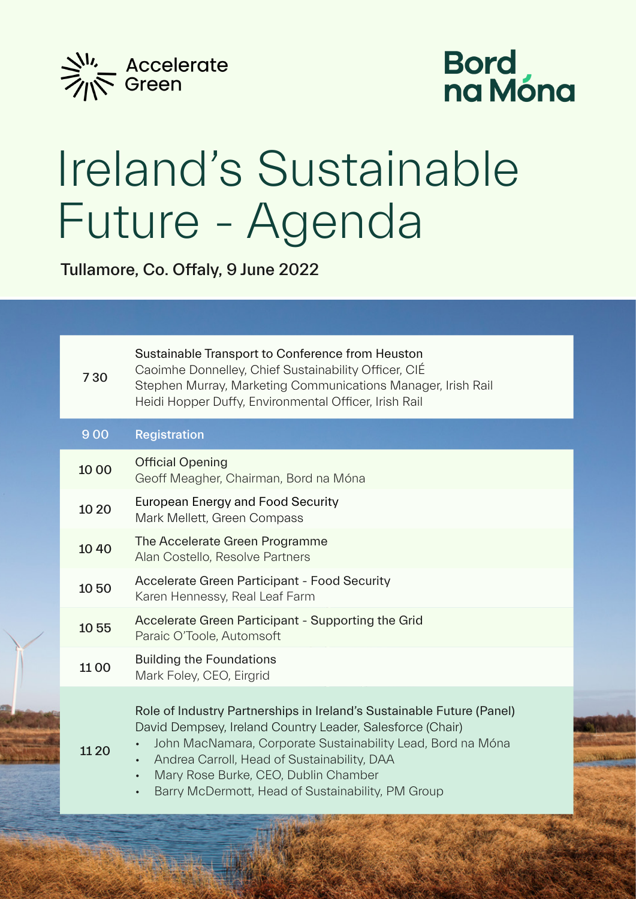

## Bord<br>na Móna

## Ireland's Sustainable Future - Agenda

Tullamore, Co. Offaly, 9 June 2022

| 730   | Sustainable Transport to Conference from Heuston<br>Caoimhe Donnelley, Chief Sustainability Officer, CIÉ<br>Stephen Murray, Marketing Communications Manager, Irish Rail<br>Heidi Hopper Duffy, Environmental Officer, Irish Rail                                                                                                                                       |
|-------|-------------------------------------------------------------------------------------------------------------------------------------------------------------------------------------------------------------------------------------------------------------------------------------------------------------------------------------------------------------------------|
| 900   | <b>Registration</b>                                                                                                                                                                                                                                                                                                                                                     |
| 10 00 | <b>Official Opening</b><br>Geoff Meagher, Chairman, Bord na Móna                                                                                                                                                                                                                                                                                                        |
| 10 20 | <b>European Energy and Food Security</b><br>Mark Mellett, Green Compass                                                                                                                                                                                                                                                                                                 |
| 1040  | The Accelerate Green Programme<br>Alan Costello, Resolve Partners                                                                                                                                                                                                                                                                                                       |
| 1050  | <b>Accelerate Green Participant - Food Security</b><br>Karen Hennessy, Real Leaf Farm                                                                                                                                                                                                                                                                                   |
| 1055  | Accelerate Green Participant - Supporting the Grid<br>Paraic O'Toole, Automsoft                                                                                                                                                                                                                                                                                         |
| 1100  | <b>Building the Foundations</b><br>Mark Foley, CEO, Eirgrid                                                                                                                                                                                                                                                                                                             |
| 11 20 | Role of Industry Partnerships in Ireland's Sustainable Future (Panel)<br>David Dempsey, Ireland Country Leader, Salesforce (Chair)<br>John MacNamara, Corporate Sustainability Lead, Bord na Móna<br>Andrea Carroll, Head of Sustainability, DAA<br>Mary Rose Burke, CEO, Dublin Chamber<br>$\bullet$<br>Barry McDermott, Head of Sustainability, PM Group<br>$\bullet$ |